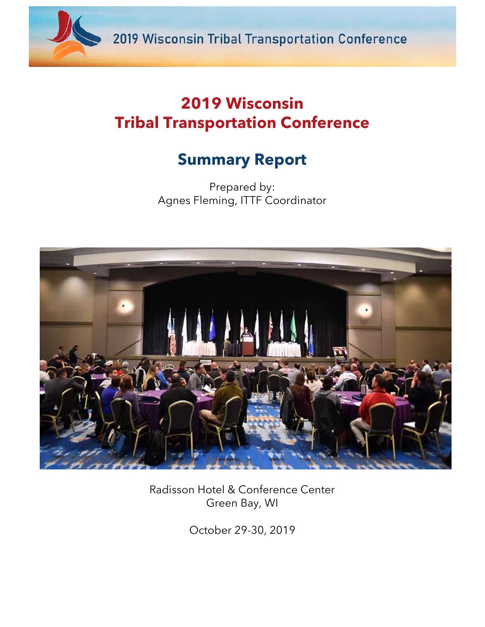

# **2019 Wisconsin Tribal Transportation Conference**

# **Summary Report**

Prepared by: Agnes Fleming, ITTF Coordinator



Radisson Hotel & Conference Center Green Bay, WI

October 29-30, 2019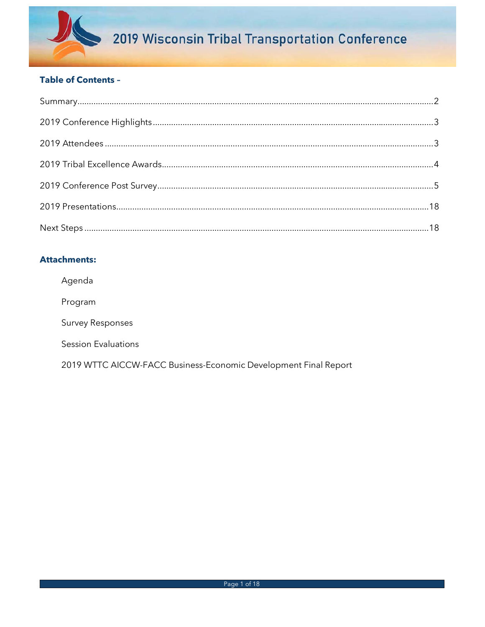

# **Table of Contents -**

# **Attachments:**

Agenda

Program

**Survey Responses** 

**Session Evaluations** 

2019 WTTC AICCW-FACC Business-Economic Development Final Report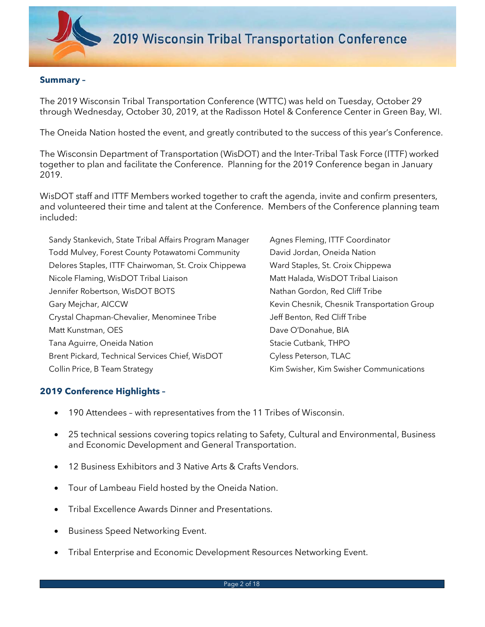

#### **Summary –**

The 2019 Wisconsin Tribal Transportation Conference (WTTC) was held on Tuesday, October 29 through Wednesday, October 30, 2019, at the Radisson Hotel & Conference Center in Green Bay, WI.

The Oneida Nation hosted the event, and greatly contributed to the success of this year's Conference.

The Wisconsin Department of Transportation (WisDOT) and the Inter-Tribal Task Force (ITTF) worked together to plan and facilitate the Conference. Planning for the 2019 Conference began in January 2019.

WisDOT staff and ITTF Members worked together to craft the agenda, invite and confirm presenters, and volunteered their time and talent at the Conference. Members of the Conference planning team included:

| Agnes Fleming, ITTF Coordinator             |
|---------------------------------------------|
| David Jordan, Oneida Nation                 |
| Ward Staples, St. Croix Chippewa            |
| Matt Halada, WisDOT Tribal Liaison          |
| Nathan Gordon, Red Cliff Tribe              |
| Kevin Chesnik, Chesnik Transportation Group |
| Jeff Benton, Red Cliff Tribe                |
| Dave O'Donahue, BIA                         |
| Stacie Cutbank, THPO                        |
| Cyless Peterson, TLAC                       |
| Kim Swisher, Kim Swisher Communications     |
|                                             |

## **2019 Conference Highlights –**

- 190 Attendees with representatives from the 11 Tribes of Wisconsin.
- 25 technical sessions covering topics relating to Safety, Cultural and Environmental, Business and Economic Development and General Transportation.
- 12 Business Exhibitors and 3 Native Arts & Crafts Vendors.
- Tour of Lambeau Field hosted by the Oneida Nation.
- Tribal Excellence Awards Dinner and Presentations.
- Business Speed Networking Event.
- Tribal Enterprise and Economic Development Resources Networking Event.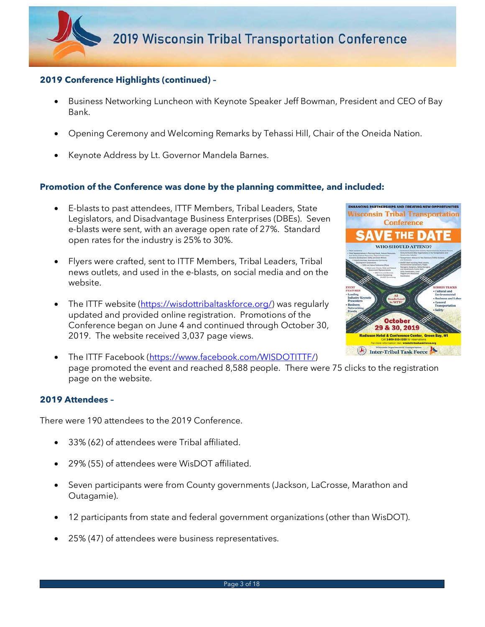## **2019 Conference Highlights (continued) –**

- Business Networking Luncheon with Keynote Speaker Jeff Bowman, President and CEO of Bay Bank.
- Opening Ceremony and Welcoming Remarks by Tehassi Hill, Chair of the Oneida Nation.
- Keynote Address by Lt. Governor Mandela Barnes.

#### **Promotion of the Conference was done by the planning committee, and included:**

- E-blasts to past attendees, ITTF Members, Tribal Leaders, State Legislators, and Disadvantage Business Enterprises (DBEs). Seven e-blasts were sent, with an average open rate of 27%. Standard open rates for the industry is 25% to 30%.
- Flyers were crafted, sent to ITTF Members, Tribal Leaders, Tribal news outlets, and used in the e-blasts, on social media and on the website.
- The ITTF website (https://wisdottribaltaskforce.org/) was regularly updated and provided online registration. Promotions of the Conference began on June 4 and continued through October 30, 2019. The website received 3,037 page views.



• The ITTF Facebook (https://www.facebook.com/WISDOTITTF/) page promoted the event and reached 8,588 people. There were 75 clicks to the registration page on the website.

#### **2019 Attendees –**

There were 190 attendees to the 2019 Conference.

- 33% (62) of attendees were Tribal affiliated.
- 29% (55) of attendees were WisDOT affiliated.
- Seven participants were from County governments (Jackson, LaCrosse, Marathon and Outagamie).
- 12 participants from state and federal government organizations (other than WisDOT).
- 25% (47) of attendees were business representatives.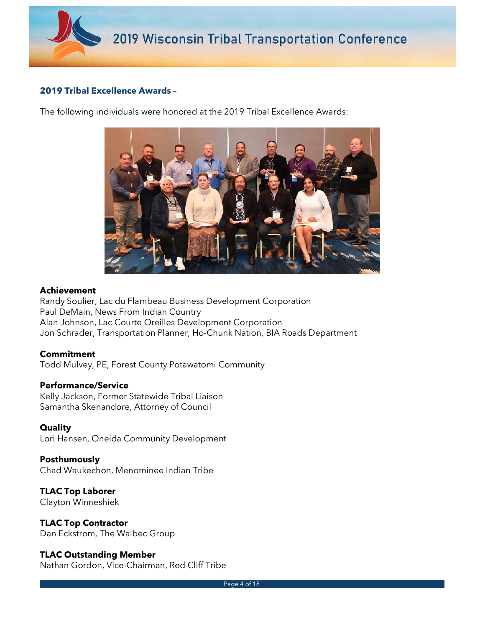

## **2019 Tribal Excellence Awards –**

The following individuals were honored at the 2019 Tribal Excellence Awards:



#### **Achievement**

Randy Soulier, Lac du Flambeau Business Development Corporation Paul DeMain, News From Indian Country Alan Johnson, Lac Courte Oreilles Development Corporation Jon Schrader, Transportation Planner, Ho-Chunk Nation, BIA Roads Department

#### **Commitment**

Todd Mulvey, PE, Forest County Potawatomi Community

#### **Performance/Service**

Kelly Jackson, Former Statewide Tribal Liaison Samantha Skenandore, Attorney of Council

#### **Quality**

Lori Hansen, Oneida Community Development

#### **Posthumously**

Chad Waukechon, Menominee Indian Tribe

**TLAC Top Laborer**  Clayton Winneshiek

# **TLAC Top Contractor**

Dan Eckstrom, The Walbec Group

## **TLAC Outstanding Member**

Nathan Gordon, Vice-Chairman, Red Cliff Tribe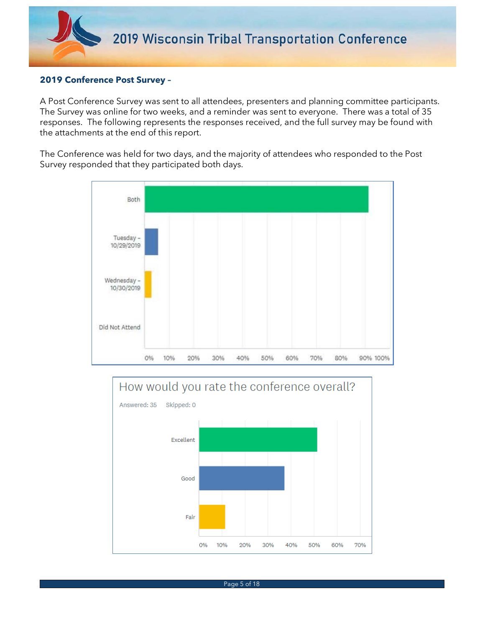### **2019 Conference Post Survey –**

A Post Conference Survey was sent to all attendees, presenters and planning committee participants. The Survey was online for two weeks, and a reminder was sent to everyone. There was a total of 35 responses. The following represents the responses received, and the full survey may be found with the attachments at the end of this report.

The Conference was held for two days, and the majority of attendees who responded to the Post Survey responded that they participated both days.



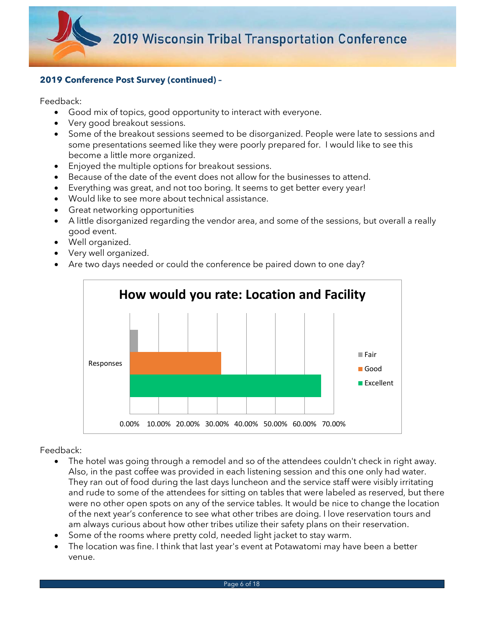

Feedback:

- Good mix of topics, good opportunity to interact with everyone.
- Very good breakout sessions.
- Some of the breakout sessions seemed to be disorganized. People were late to sessions and some presentations seemed like they were poorly prepared for. I would like to see this become a little more organized.
- Enjoyed the multiple options for breakout sessions.
- Because of the date of the event does not allow for the businesses to attend.
- Everything was great, and not too boring. It seems to get better every year!
- Would like to see more about technical assistance.
- Great networking opportunities
- A little disorganized regarding the vendor area, and some of the sessions, but overall a really good event.
- Well organized.
- Very well organized.
- Are two days needed or could the conference be paired down to one day?



- The hotel was going through a remodel and so of the attendees couldn't check in right away. Also, in the past coffee was provided in each listening session and this one only had water. They ran out of food during the last days luncheon and the service staff were visibly irritating and rude to some of the attendees for sitting on tables that were labeled as reserved, but there were no other open spots on any of the service tables. It would be nice to change the location of the next year's conference to see what other tribes are doing. I love reservation tours and am always curious about how other tribes utilize their safety plans on their reservation.
- Some of the rooms where pretty cold, needed light jacket to stay warm.
- The location was fine. I think that last year's event at Potawatomi may have been a better venue.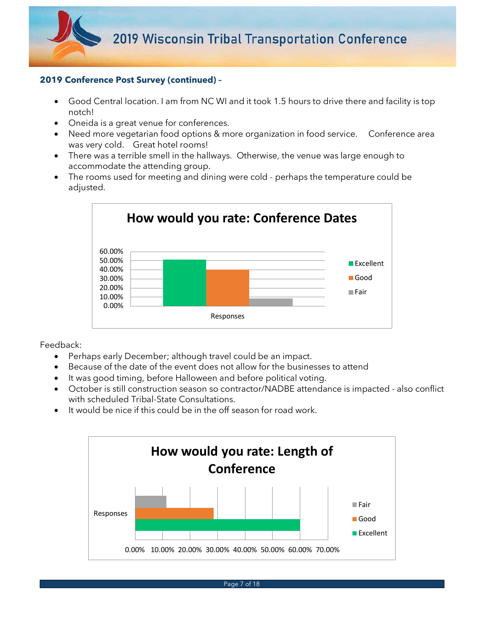

- Good Central location. I am from NC WI and it took 1.5 hours to drive there and facility is top notch!
- Oneida is a great venue for conferences.
- Need more vegetarian food options & more organization in food service. Conference area was very cold. Great hotel rooms!
- There was a terrible smell in the hallways. Otherwise, the venue was large enough to accommodate the attending group.
- The rooms used for meeting and dining were cold perhaps the temperature could be adjusted.



- Perhaps early December; although travel could be an impact.
- Because of the date of the event does not allow for the businesses to attend
- It was good timing, before Halloween and before political voting.
- October is still construction season so contractor/NADBE attendance is impacted also conflict with scheduled Tribal-State Consultations.
- It would be nice if this could be in the off season for road work.

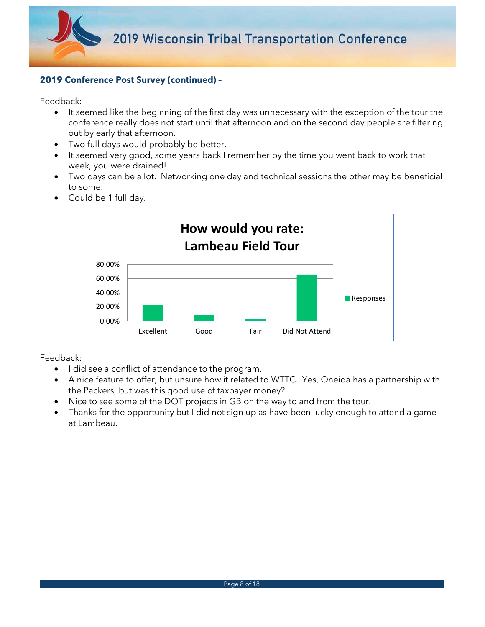

Feedback:

- It seemed like the beginning of the first day was unnecessary with the exception of the tour the conference really does not start until that afternoon and on the second day people are filtering out by early that afternoon.
- Two full days would probably be better.
- It seemed very good, some years back I remember by the time you went back to work that week, you were drained!
- Two days can be a lot. Networking one day and technical sessions the other may be beneficial to some.



• Could be 1 full day.

- I did see a conflict of attendance to the program.
- A nice feature to offer, but unsure how it related to WTTC. Yes, Oneida has a partnership with the Packers, but was this good use of taxpayer money?
- Nice to see some of the DOT projects in GB on the way to and from the tour.
- Thanks for the opportunity but I did not sign up as have been lucky enough to attend a game at Lambeau.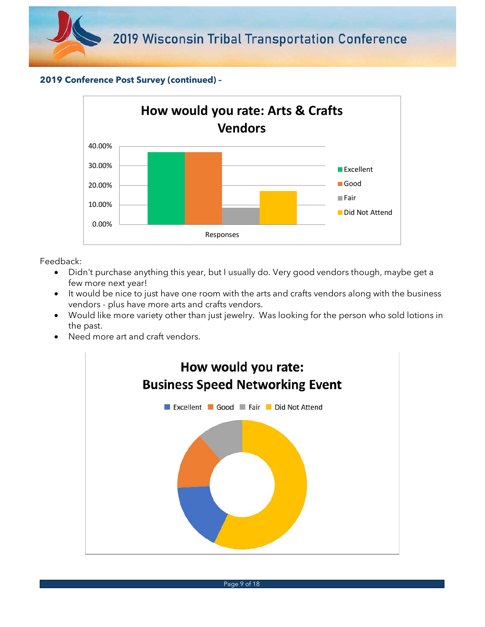

- Didn't purchase anything this year, but I usually do. Very good vendors though, maybe get a few more next year!
- It would be nice to just have one room with the arts and crafts vendors along with the business vendors - plus have more arts and crafts vendors.
- Would like more variety other than just jewelry. Was looking for the person who sold lotions in the past.
- Need more art and craft vendors.

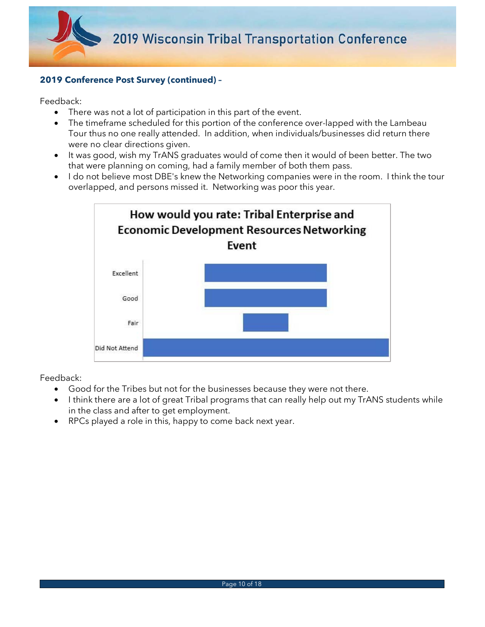

Feedback:

- There was not a lot of participation in this part of the event.
- The timeframe scheduled for this portion of the conference over-lapped with the Lambeau Tour thus no one really attended. In addition, when individuals/businesses did return there were no clear directions given.
- It was good, wish my TrANS graduates would of come then it would of been better. The two that were planning on coming, had a family member of both them pass.
- I do not believe most DBE's knew the Networking companies were in the room. I think the tour overlapped, and persons missed it. Networking was poor this year.



- Good for the Tribes but not for the businesses because they were not there.
- I think there are a lot of great Tribal programs that can really help out my TrANS students while in the class and after to get employment.
- RPCs played a role in this, happy to come back next year.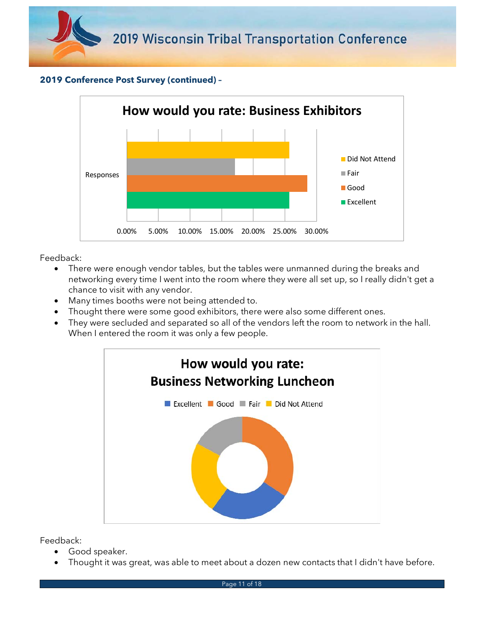



Feedback:

- There were enough vendor tables, but the tables were unmanned during the breaks and networking every time I went into the room where they were all set up, so I really didn't get a chance to visit with any vendor.
- Many times booths were not being attended to.
- Thought there were some good exhibitors, there were also some different ones.
- They were secluded and separated so all of the vendors left the room to network in the hall. When I entered the room it was only a few people.



- Good speaker.
- Thought it was great, was able to meet about a dozen new contacts that I didn't have before.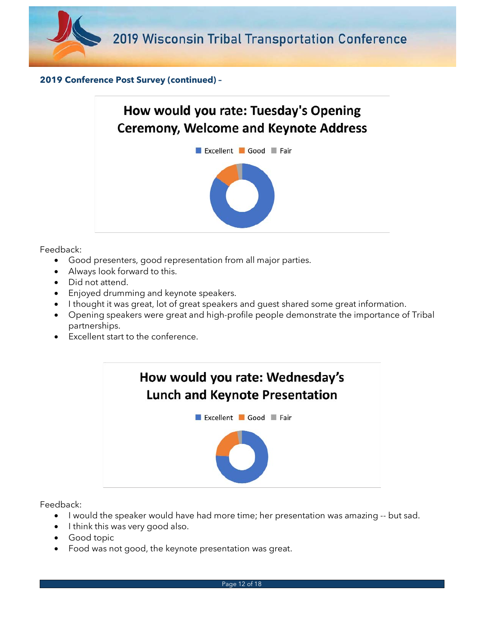



Feedback:

- Good presenters, good representation from all major parties.
- Always look forward to this.
- Did not attend.
- Enjoyed drumming and keynote speakers.
- I thought it was great, lot of great speakers and guest shared some great information.
- Opening speakers were great and high-profile people demonstrate the importance of Tribal partnerships.
- Excellent start to the conference.



- I would the speaker would have had more time; her presentation was amazing -- but sad.
- I think this was very good also.
- Good topic
- Food was not good, the keynote presentation was great.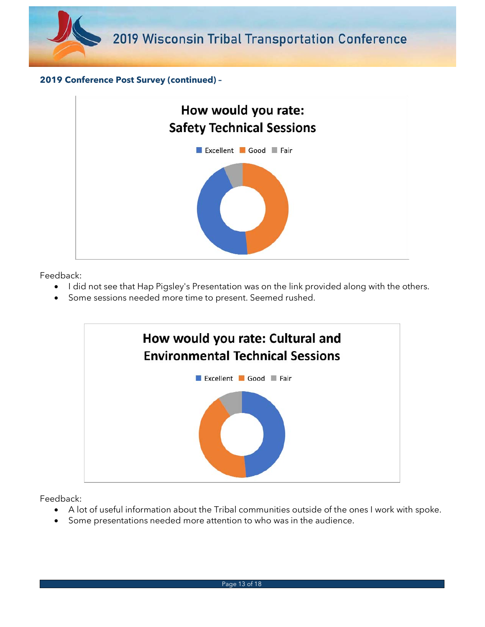



Feedback:

- I did not see that Hap Pigsley's Presentation was on the link provided along with the others.
- Some sessions needed more time to present. Seemed rushed.



- A lot of useful information about the Tribal communities outside of the ones I work with spoke.
- Some presentations needed more attention to who was in the audience.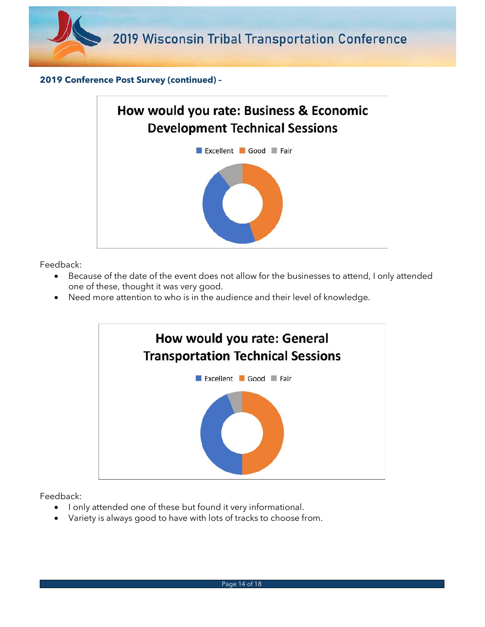



Feedback:

- Because of the date of the event does not allow for the businesses to attend, I only attended one of these, thought it was very good.
- Need more attention to who is in the audience and their level of knowledge.



- I only attended one of these but found it very informational.
- Variety is always good to have with lots of tracks to choose from.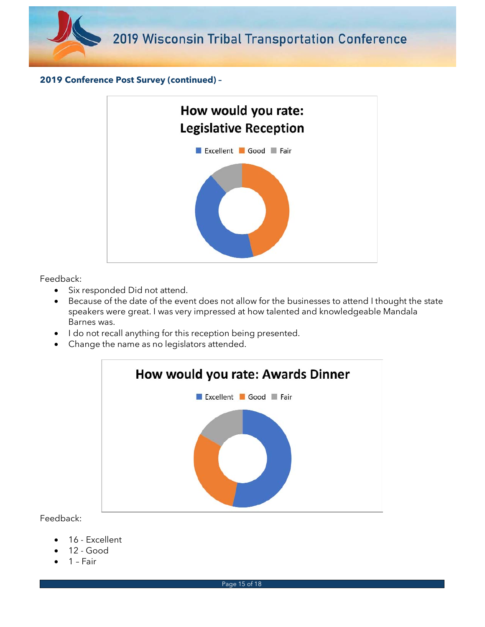



Feedback:

- Six responded Did not attend.
- Because of the date of the event does not allow for the businesses to attend I thought the state speakers were great. I was very impressed at how talented and knowledgeable Mandala Barnes was.
- I do not recall anything for this reception being presented.
- Change the name as no legislators attended.



- 16 Excellent
- 12 Good
- 1 Fair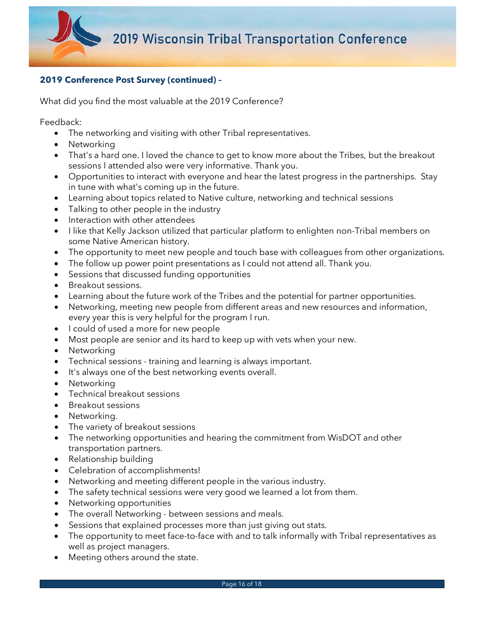

What did you find the most valuable at the 2019 Conference?

- The networking and visiting with other Tribal representatives.
- Networking
- That's a hard one. I loved the chance to get to know more about the Tribes, but the breakout sessions I attended also were very informative. Thank you.
- Opportunities to interact with everyone and hear the latest progress in the partnerships. Stay in tune with what's coming up in the future.
- Learning about topics related to Native culture, networking and technical sessions
- Talking to other people in the industry
- Interaction with other attendees
- I like that Kelly Jackson utilized that particular platform to enlighten non-Tribal members on some Native American history.
- The opportunity to meet new people and touch base with colleagues from other organizations.
- The follow up power point presentations as I could not attend all. Thank you.
- Sessions that discussed funding opportunities
- Breakout sessions.
- Learning about the future work of the Tribes and the potential for partner opportunities.
- Networking, meeting new people from different areas and new resources and information, every year this is very helpful for the program I run.
- I could of used a more for new people
- Most people are senior and its hard to keep up with vets when your new.
- Networking
- Technical sessions training and learning is always important.
- It's always one of the best networking events overall.
- Networking
- Technical breakout sessions
- Breakout sessions
- Networking.
- The variety of breakout sessions
- The networking opportunities and hearing the commitment from WisDOT and other transportation partners.
- Relationship building
- Celebration of accomplishments!
- Networking and meeting different people in the various industry.
- The safety technical sessions were very good we learned a lot from them.
- Networking opportunities
- The overall Networking between sessions and meals.
- Sessions that explained processes more than just giving out stats.
- The opportunity to meet face-to-face with and to talk informally with Tribal representatives as well as project managers.
- Meeting others around the state.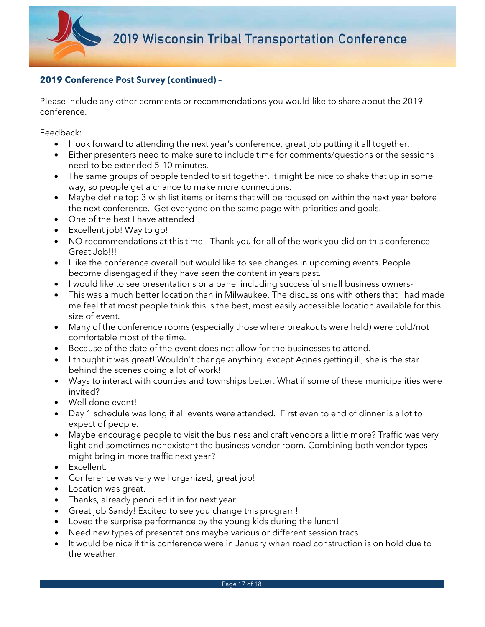Please include any other comments or recommendations you would like to share about the 2019 conference.

- I look forward to attending the next year's conference, great job putting it all together.
- Either presenters need to make sure to include time for comments/questions or the sessions need to be extended 5-10 minutes.
- The same groups of people tended to sit together. It might be nice to shake that up in some way, so people get a chance to make more connections.
- Maybe define top 3 wish list items or items that will be focused on within the next year before the next conference. Get everyone on the same page with priorities and goals.
- One of the best I have attended
- Excellent job! Way to go!
- NO recommendations at this time Thank you for all of the work you did on this conference Great Job!!!
- I like the conference overall but would like to see changes in upcoming events. People become disengaged if they have seen the content in years past.
- I would like to see presentations or a panel including successful small business owners-
- This was a much better location than in Milwaukee. The discussions with others that I had made me feel that most people think this is the best, most easily accessible location available for this size of event.
- Many of the conference rooms (especially those where breakouts were held) were cold/not comfortable most of the time.
- Because of the date of the event does not allow for the businesses to attend.
- I thought it was great! Wouldn't change anything, except Agnes getting ill, she is the star behind the scenes doing a lot of work!
- Ways to interact with counties and townships better. What if some of these municipalities were invited?
- Well done event!
- Day 1 schedule was long if all events were attended. First even to end of dinner is a lot to expect of people.
- Maybe encourage people to visit the business and craft vendors a little more? Traffic was very light and sometimes nonexistent the business vendor room. Combining both vendor types might bring in more traffic next year?
- Excellent.
- Conference was very well organized, great job!
- Location was great.
- Thanks, already penciled it in for next year.
- Great job Sandy! Excited to see you change this program!
- Loved the surprise performance by the young kids during the lunch!
- Need new types of presentations maybe various or different session tracs
- It would be nice if this conference were in January when road construction is on hold due to the weather.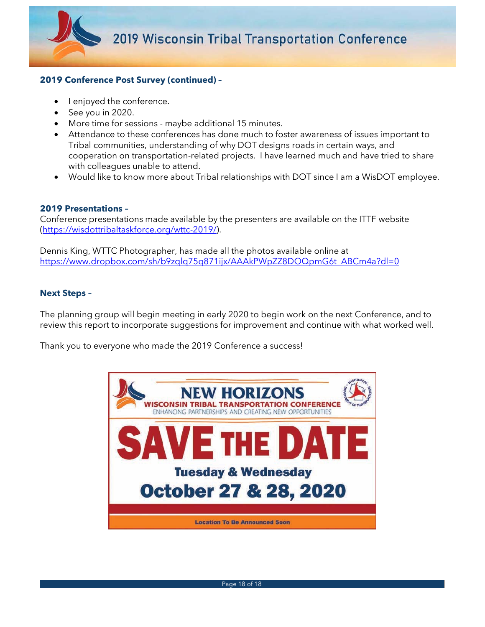

- I enjoyed the conference.
- See you in 2020.
- More time for sessions maybe additional 15 minutes.
- Attendance to these conferences has done much to foster awareness of issues important to Tribal communities, understanding of why DOT designs roads in certain ways, and cooperation on transportation-related projects. I have learned much and have tried to share with colleagues unable to attend.
- Would like to know more about Tribal relationships with DOT since I am a WisDOT employee.

#### **2019 Presentations –**

Conference presentations made available by the presenters are available on the ITTF website (https://wisdottribaltaskforce.org/wttc-2019/).

Dennis King, WTTC Photographer, has made all the photos available online at https://www.dropbox.com/sh/b9zqlq75q871ijx/AAAkPWpZZ8DOQpmG6t ABCm4a?dl=0

## **Next Steps –**

The planning group will begin meeting in early 2020 to begin work on the next Conference, and to review this report to incorporate suggestions for improvement and continue with what worked well.

Thank you to everyone who made the 2019 Conference a success!

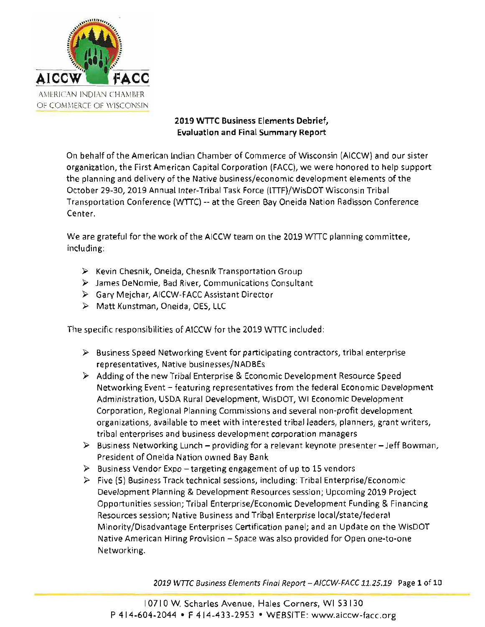

# 2019 WTTC Business Elements Debrief. **Evaluation and Final Summary Report**

On behalf of the American Indian Chamber of Commerce of Wisconsin (AICCW) and our sister organization, the First American Capital Corporation (FACC), we were honored to help support the planning and delivery of the Native business/economic development elements of the October 29-30, 2019 Annual Inter-Tribal Task Force (ITTF)/WisDOT Wisconsin Tribal Transportation Conference (WTTC) -- at the Green Bay Oneida Nation Radisson Conference Center.

We are grateful for the work of the AICCW team on the 2019 WTTC planning committee, including:

- $\triangleright$  Kevin Chesnik, Oneida, Chesnik Transportation Group
- $\triangleright$  James DeNomie, Bad River, Communications Consultant
- > Gary Mejchar, AICCW-FACC Assistant Director
- > Matt Kunstman, Oneida, OES, LLC

The specific responsibilities of AICCW for the 2019 WTTC included:

- $\triangleright$  Business Speed Networking Event for participating contractors, tribal enterprise representatives, Native businesses/NADBEs
- $\triangleright$  Adding of the new Tribal Enterprise & Economic Development Resource Speed Networking Event - featuring representatives from the federal Economic Development Administration, USDA Rural Development, WisDOT, WI Economic Development Corporation, Regional Planning Commissions and several non-profit development organizations, available to meet with interested tribal leaders, planners, grant writers, tribal enterprises and business development corporation managers
- $\triangleright$  Business Networking Lunch providing for a relevant keynote presenter Jeff Bowman, President of Oneida Nation owned Bay Bank
- $\triangleright$  Business Vendor Expo targeting engagement of up to 15 vendors
- $\triangleright$  Five (5) 8 usiness Track technical sessions, including: Tribal Enterprise/Economic Development Planning & Development Resources session; Upcoming 2019 Project Opportunities session: Tribal Enterprise/Economic Development Funding & Financing Resources session; Native Business and Tribal Enterprise local/state/federal Minority/Disadvantage Enterprises Certification panel; and an Update on the WisDOT Native American Hiring Provision - Space was also provided for Open one-to-one Networking.

2019 WTTC Business Elements Final Report - AICCW-FACC 11.25.19 Page 1 of 10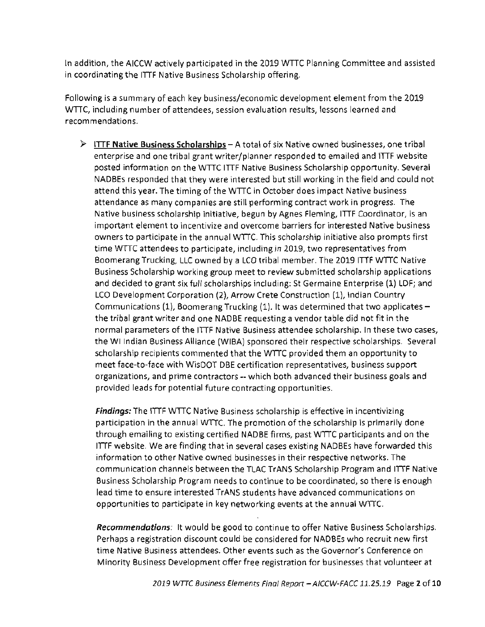In addition, the AICCW actively participated in the 2019 WTTC Planning Committee and assisted in coordinating the ITTF Native Business Scholarship offering.

Following is a summary of each key business/economic development element from the 2019 WTTC, including number of attendees, session evaluation results, lessons learned and recommendations.

> ITTF Native Business Scholarships - A total of six Native owned businesses, one tribal enterprise and one tribal grant writer/planner responded to emailed and ITTF website posted information on the WTTC ITTF Native Business Scholarship opportunity. Several NADBEs responded that they were interested but still working in the field and could not attend this year. The timing of the WTTC in October does impact Native business attendance as many companies are still performing contract work in progress. The Native business scholarship initiative, begun by Agnes Fleming, ITTF Coordinator, is an important element to incentivize and overcome barriers for interested Native business owners to participate in the annual WTTC. This scholarship initiative also prompts first time WTTC attendees to participate, including in 2019, two representatives from Boomerang Trucking, LLC owned by a LCO tribal member. The 2019 ITTF WTTC Native Business Scholarship working group meet to review submitted scholarship applications and decided to grant six full scholarships including: St Germaine Enterprise (1) LDF; and LCO Development Corporation (2), Arrow Crete Construction (1), Indian Country Communications (1), Boomerang Trucking (1). It was determined that two applicates the tribal grant writer and one NADBE requesting a vendor table did not fit in the normal parameters of the ITTF Native Business attendee scholarship. In these two cases, the WI Indian Business Alliance (WIBA) sponsored their respective scholarships. Several scholarship recipients commented that the WTTC provided them an opportunity to meet face-to-face with WisDOT DBE certification representatives, business support organizations, and prime contractors -- which both advanced their business goals and provided leads for potential future contracting opportunities.

Findings: The ITTF WTTC Native Business scholarship is effective in incentivizing participation in the annual WTTC. The promotion of the scholarship is primarily done through emailing to existing certified NADBE firms, past WTTC participants and on the ITTF website. We are finding that in several cases existing NADBEs have forwarded this information to other Native owned businesses in their respective networks. The communication channels between the TLAC TrANS Scholarship Program and ITTF Native Business Scholarship Program needs to continue to be coordinated, so there is enough lead time to ensure interested TrANS students have advanced communications on opportunities to participate in key networking events at the annual WTTC.

Recommendations: It would be good to continue to offer Native Business Scholarships. Perhaps a registration discount could be considered for NADBEs who recruit new first time Native Business attendees. Other events such as the Governor's Conference on Minority Business Development offer free registration for businesses that volunteer at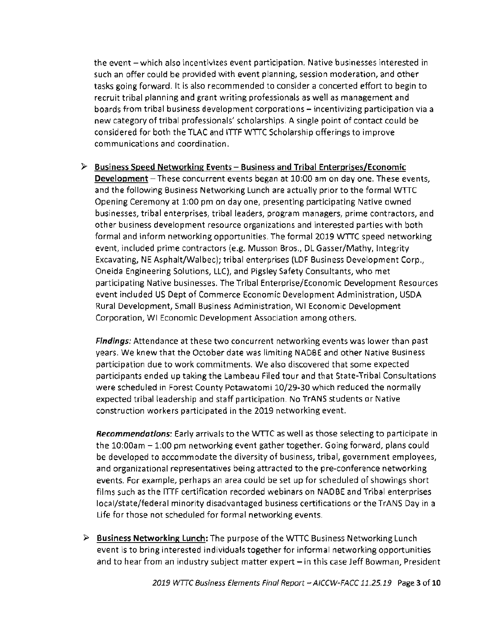the event - which also incentivizes event participation. Native businesses interested in such an offer could be provided with event planning, session moderation, and other tasks going forward. It is also recommended to consider a concerted effort to begin to recruit tribal planning and grant writing professionals as well as management and boards from tribal business development corporations - incentivizing participation via a new category of tribal professionals' scholarships. A single point of contact could be considered for both the TLAC and ITTF WTTC Scholarship offerings to improve communications and coordination.

 $\triangleright$  Business Speed Networking Events – Business and Tribal Enterprises/Economic Development - These concurrent events began at 10:00 am on day one. These events, and the following Business Networking Lunch are actually prior to the formal WTTC Opening Ceremony at 1:00 pm on day one, presenting participating Native owned businesses, tribal enterprises, tribal leaders, program managers, prime contractors, and other business development resource organizations and interested parties with both formal and inform networking opportunities. The formal 2019 WTTC speed networking event, included prime contractors (e.g. Musson Bros., DL Gasser/Mathy, Integrity Excavating, NE Asphalt/Walbec); tribal enterprises (LDF Business Development Corp., Oneida Engineering Solutions, LLC), and Pigsley Safety Consultants, who met participating Native businesses. The Tribal Enterprise/Economic Development Resources event included US Dept of Commerce Economic Development Administration, USDA Rural Development, Small Business Administration, WI Economic Development Corporation, WI Economic Development Association among others.

Findings: Attendance at these two concurrent networking events was lower than past years. We knew that the October date was limiting NADBE and other Native Business participation due to work commitments. We also discovered that some expected participants ended up taking the Lambeau Filed tour and that State-Tribal Consultations were scheduled in Forest County Potawatomi 10/29-30 which reduced the normally expected tribal leadership and staff participation. No TrANS students or Native construction workers participated in the 2019 networking event.

**Recommendations:** Early arrivals to the WTTC as well as those selecting to participate in the 10:00am – 1:00 pm networking event gather together. Going forward, plans could be developed to accommodate the diversity of business, tribal, government employees, and organizational representatives being attracted to the pre-conference networking events. For example, perhaps an area could be set up for scheduled of showings short films such as the ITTF certification recorded webinars on NADBE and Tribal enterprises local/state/federal minority disadvantaged business certifications or the TrANS Day in a Life for those not scheduled for formal networking events.

 $\triangleright$  Business Networking Lunch: The purpose of the WTTC Business Networking Lunch event is to bring interested individuals together for informal networking opportunities and to hear from an industry subject matter expert - in this case Jeff Bowman, President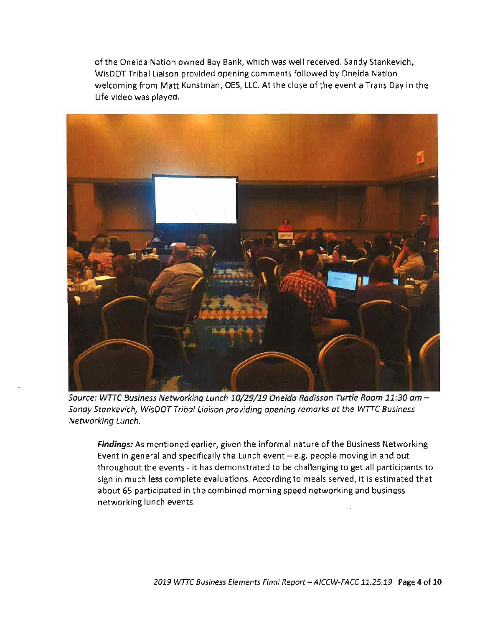of the Oneida Nation owned Bay Bank, which was well received. Sandy Stankevich, WisDOT Tribal Liaison provided opening comments followed by Oneida Nation welcoming from Matt Kunstman, OES, LLC. At the close of the event a Trans Day in the Life video was played.



Source: WTTC Business Networking Lunch 10/29/19 Oneida Radisson Turtle Room 11:30 am -Sandy Stankevich, WisDOT Tribal Liaison providing opening remarks at the WTTC Business Networking Lunch.

Findings: As mentioned earlier, given the informal nature of the Business Networking Event in general and specifically the Lunch event  $-e.g.$  people moving in and out throughout the events - it has demonstrated to be challenging to get all participants to sign in much less complete evaluations. According to meals served, it is estimated that about 65 participated in the combined morning speed networking and business networking lunch events.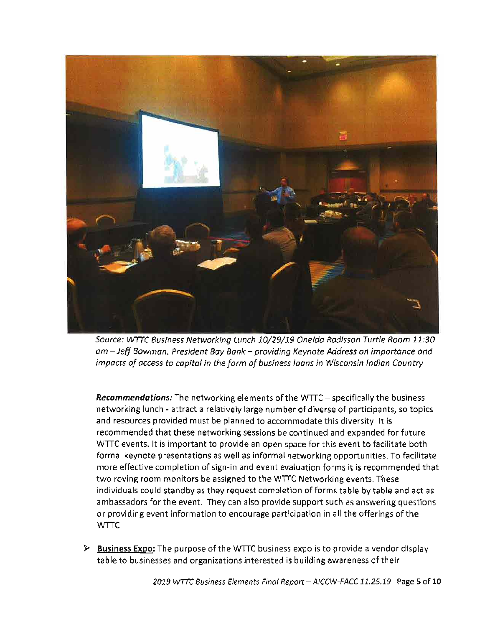

Source: WTTC Business Networking Lunch 10/29/19 Oneida Radisson Turtle Room 11:30 am - Jeff Bowman, President Bay Bank - providing Keynote Address on importance and impacts of access to capital in the form of business loans in Wisconsin Indian Country

**Recommendations:** The networking elements of the WTTC – specifically the business networking lunch - attract a relatively large number of diverse of participants, so topics and resources provided must be planned to accommodate this diversity. It is recommended that these networking sessions be continued and expanded for future WTTC events. It is important to provide an open space for this event to facilitate both formal keynote presentations as well as informal networking opportunities. To facilitate more effective completion of sign-in and event evaluation forms it is recommended that two roving room monitors be assigned to the WTTC Networking events. These individuals could standby as they request completion of forms table by table and act as ambassadors for the event. They can also provide support such as answering questions or providing event information to encourage participation in all the offerings of the WTTC.

 $\triangleright$  Business Expo: The purpose of the WTTC business expo is to provide a vendor display table to businesses and organizations interested is building awareness of their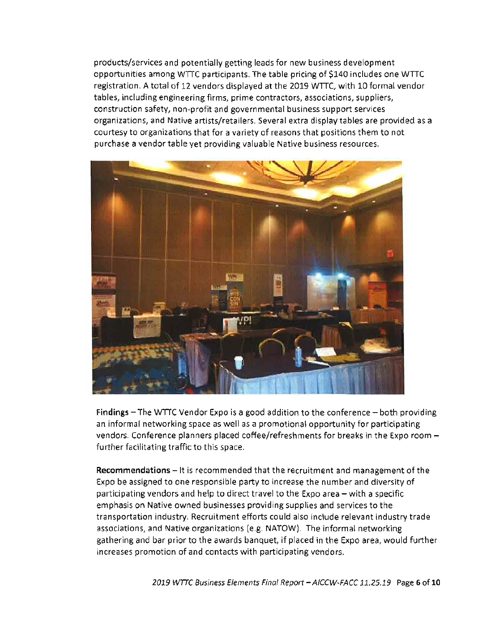products/services and potentially getting leads for new business development opportunities among WTTC participants. The table pricing of \$140 includes one WTTC registration. A total of 12 vendors displayed at the 2019 WTTC, with 10 formal vendor tables, including engineering firms, prime contractors, associations, suppliers, construction safety, non-profit and governmental business support services organizations, and Native artists/retailers. Several extra display tables are provided as a courtesy to organizations that for a variety of reasons that positions them to not purchase a vendor table vet providing valuable Native business resources.



Findings - The WTTC Vendor Expo is a good addition to the conference - both providing an informal networking space as well as a promotional opportunity for participating vendors. Conference planners placed coffee/refreshments for breaks in the Expo room further facilitating traffic to this space.

**Recommendations** – It is recommended that the recruitment and management of the Expo be assigned to one responsible party to increase the number and diversity of participating vendors and help to direct travel to the Expo area – with a specific emphasis on Native owned businesses providing supplies and services to the transportation industry. Recruitment efforts could also include relevant industry trade associations, and Native organizations (e.g. NATOW). The informal networking gathering and bar prior to the awards banquet, if placed in the Expo area, would further increases promotion of and contacts with participating vendors.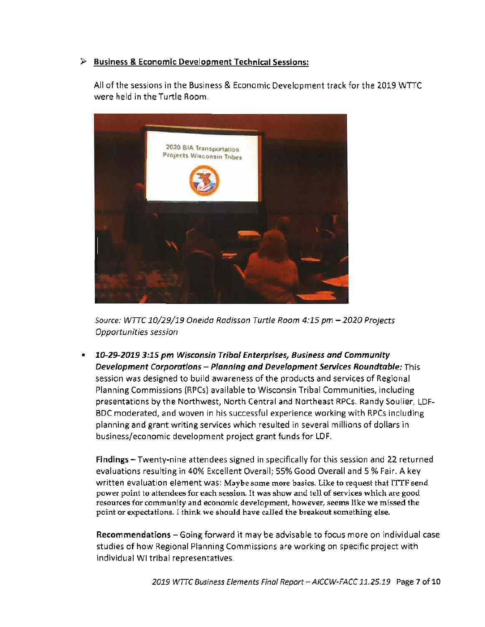## $\triangleright$  Business & Economic Development Technical Sessions:

All of the sessions in the Business & Economic Development track for the 2019 WTTC were held in the Turtle Room.



Source: WTTC 10/29/19 Oneida Radisson Turtle Room 4:15 pm - 2020 Projects Opportunities session

10-29-2019 3:15 pm Wisconsin Tribal Enterprises, Business and Community Development Corporations - Planning and Development Services Roundtable: This session was designed to build awareness of the products and services of Regional Planning Commissions (RPCs) available to Wisconsin Tribal Communities, including presentations by the Northwest, North Central and Northeast RPCs. Randy Soulier, LDF-BDC moderated, and woven in his successful experience working with RPCs including planning and grant writing services which resulted in several millions of dollars in business/economic development project grant funds for LDF.

Findings - Twenty-nine attendees signed in specifically for this session and 22 returned evaluations resulting in 40% Excellent Overall; 55% Good Overall and 5 % Fair. A key written evaluation element was: Maybe some more basics. Like to request that ITTF send power point to attendees for each session. It was show and tell of services which are good resources for community and economic development, however, seems like we missed the point or expectations. I think we should have called the breakout something else.

Recommendations - Going forward it may be advisable to focus more on individual case studies of how Regional Planning Commissions are working on specific project with individual WI tribal representatives.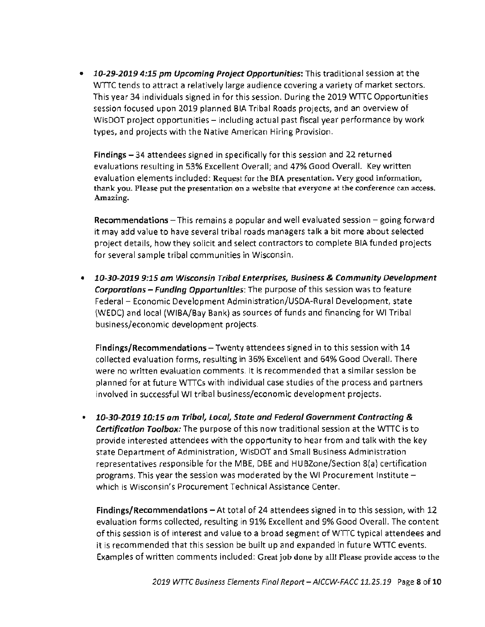10-29-2019 4:15 pm Upcoming Project Opportunities: This traditional session at the  $\bullet$ WTTC tends to attract a relatively large audience covering a variety of market sectors. This year 34 individuals signed in for this session. During the 2019 WTTC Opportunities session focused upon 2019 planned BIA Tribal Roads projects, and an overview of WisDOT project opportunities - including actual past fiscal year performance by work types, and projects with the Native American Hiring Provision.

Findings - 34 attendees signed in specifically for this session and 22 returned evaluations resulting in 53% Excellent Overall; and 47% Good Overall. Key written evaluation elements included: Request for the BIA presentation. Very good information, thank you. Please put the presentation on a website that everyone at the conference can access. Amazing.

Recommendations - This remains a popular and well evaluated session - going forward it may add value to have several tribal roads managers talk a bit more about selected project details, how they solicit and select contractors to complete BIA funded projects for several sample tribal communities in Wisconsin.

• 10-30-2019 9:15 am Wisconsin Tribal Enterprises, Business & Community Development **Corporations - Funding Opportunities:** The purpose of this session was to feature Federal - Economic Development Administration/USDA-Rural Development, state (WEDC) and local (WIBA/Bay Bank) as sources of funds and financing for WI Tribal business/economic development projects.

Findings/Recommendations - Twenty attendees signed in to this session with 14 collected evaluation forms, resulting in 36% Excellent and 64% Good Overall. There were no written evaluation comments. It is recommended that a similar session be planned for at future WTTCs with individual case studies of the process and partners involved in successful WI tribal business/economic development projects.

10-30-2019 10:15 am Tribal, Local, State and Federal Government Contracting &  $\bullet$ **Certification Toolbox:** The purpose of this now traditional session at the WTTC is to provide interested attendees with the opportunity to hear from and talk with the key state Department of Administration, WisDOT and Small Business Administration representatives responsible for the MBE, DBE and HUBZone/Section 8(a) certification programs. This year the session was moderated by the WI Procurement Institute which is Wisconsin's Procurement Technical Assistance Center.

Findings/Recommendations - At total of 24 attendees signed in to this session, with 12 evaluation forms collected, resulting in 91% Excellent and 9% Good Overall. The content of this session is of interest and value to a broad segment of WTTC typical attendees and it is recommended that this session be built up and expanded in future WTTC events. Examples of written comments included: Great job done by all! Please provide access to the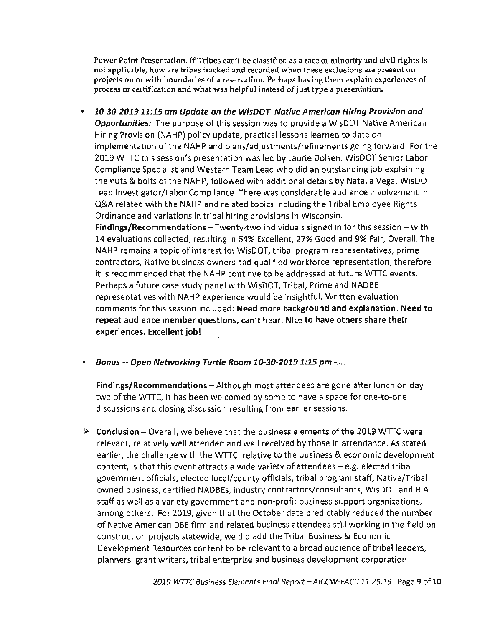Power Point Presentation. If Tribes can't be classified as a race or minority and civil rights is not applicable, how are tribes tracked and recorded when these exclusions are present on projects on or with boundaries of a reservation. Perhaps having them explain experiences of process or certification and what was helpful instead of just type a presentation.

• 10-30-2019 11:15 am Update on the WisDOT Native American Hiring Provision and **Opportunities:** The purpose of this session was to provide a WisDOT Native American Hiring Provision (NAHP) policy update, practical lessons learned to date on implementation of the NAHP and plans/adjustments/refinements going forward. For the 2019 WTTC this session's presentation was led by Laurie Dolsen, WisDOT Senior Labor Compliance Specialist and Western Team Lead who did an outstanding job explaining the nuts & bolts of the NAHP, followed with additional details by Natalia Vega, WisDOT Lead Investigator/Labor Compliance. There was considerable audience involvement in Q&A related with the NAHP and related topics including the Tribal Employee Rights Ordinance and variations in tribal hiring provisions in Wisconsin.

Findings/Recommendations  $-T$  wenty-two individuals signed in for this session  $-\text{with}$ 14 evaluations collected, resulting in 64% Excellent, 27% Good and 9% Fair, Overall. The NAHP remains a topic of interest for WisDOT, tribal program representatives, prime contractors, Native business owners and qualified workforce representation, therefore it is recommended that the NAHP continue to be addressed at future WTTC events. Perhaps a future case study panel with WisDOT, Tribal, Prime and NADBE representatives with NAHP experience would be insightful. Written evaluation comments for this session included: Need more background and explanation. Need to repeat audience member questions, can't hear. Nice to have others share their experiences. Excellent job!

 $\bullet$ Bonus -- Open Networking Turtle Room 10-30-2019 1:15 pm -....

Findings/Recommendations - Although most attendees are gone after lunch on day two of the WTTC, it has been welcomed by some to have a space for one-to-one discussions and closing discussion resulting from earlier sessions.

 $\triangleright$  Conclusion – Overall, we believe that the business elements of the 2019 WTTC were relevant, relatively well attended and well received by those in attendance. As stated earlier, the challenge with the WTTC, relative to the business & economic development content, is that this event attracts a wide variety of attendees - e.g. elected tribal government officials, elected local/county officials, tribal program staff, Native/Tribal owned business, certified NADBEs, industry contractors/consultants, WisDOT and BIA staff as well as a variety government and non-profit business support organizations, among others. For 2019, given that the October date predictably reduced the number of Native American DBE firm and related business attendees still working in the field on construction projects statewide, we did add the Tribal Business & Economic Development Resources content to be relevant to a broad audience of tribal leaders, planners, grant writers, tribal enterprise and business development corporation